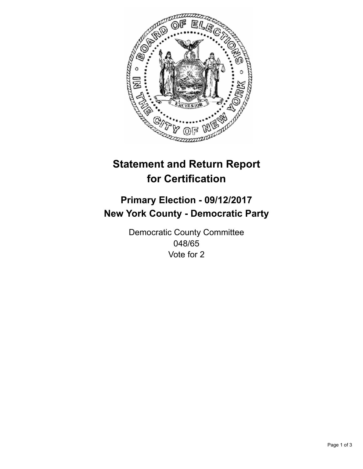

## **Statement and Return Report for Certification**

## **Primary Election - 09/12/2017 New York County - Democratic Party**

Democratic County Committee 048/65 Vote for 2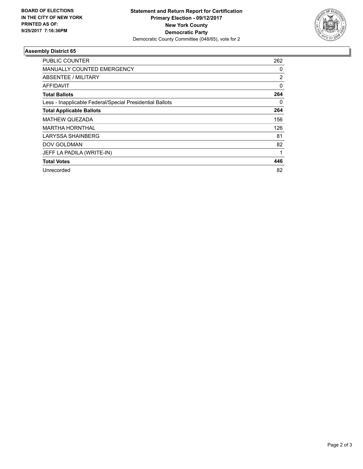

## **Assembly District 65**

| <b>PUBLIC COUNTER</b>                                    | 262            |
|----------------------------------------------------------|----------------|
| <b>MANUALLY COUNTED EMERGENCY</b>                        | 0              |
| ABSENTEE / MILITARY                                      | $\overline{2}$ |
| AFFIDAVIT                                                | $\Omega$       |
| <b>Total Ballots</b>                                     | 264            |
| Less - Inapplicable Federal/Special Presidential Ballots | 0              |
| <b>Total Applicable Ballots</b>                          | 264            |
| <b>MATHEW QUEZADA</b>                                    | 156            |
| <b>MARTHA HORNTHAL</b>                                   | 126            |
| LARYSSA SHAINBERG                                        | 81             |
| <b>DOV GOLDMAN</b>                                       | 82             |
| JEFF LA PADILA (WRITE-IN)                                |                |
| <b>Total Votes</b>                                       | 446            |
| Unrecorded                                               | 82             |